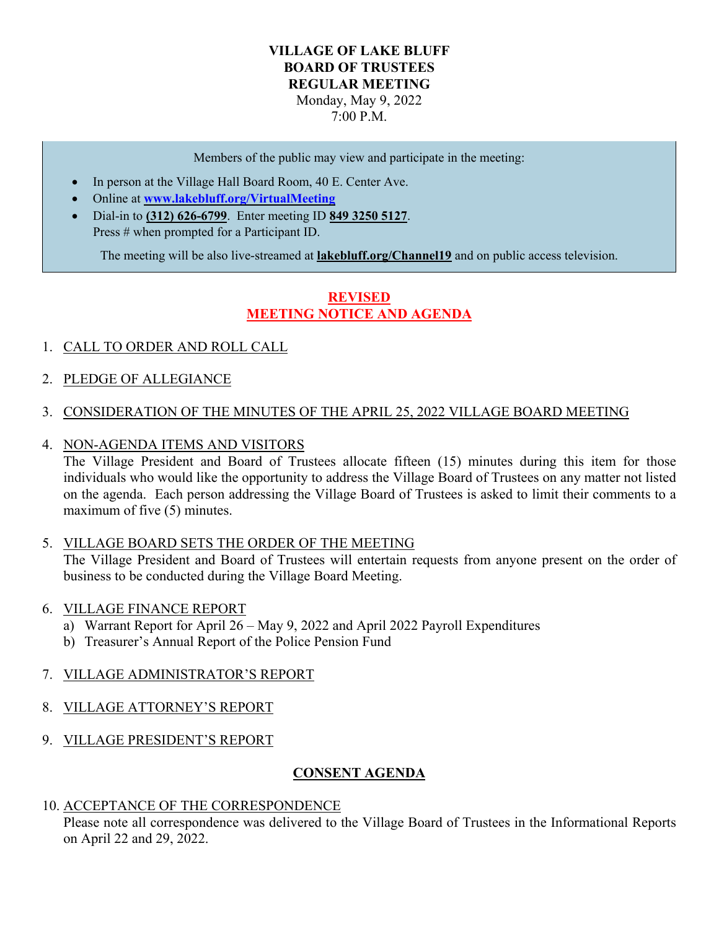#### **VILLAGE OF LAKE BLUFF BOARD OF TRUSTEES REGULAR MEETING** Monday, May 9, 2022 7:00 P.M.

Members of the public may view and participate in the meeting:

- In person at the Village Hall Board Room, 40 E. Center Ave.
- Online at **[www.lakebluff.org/VirtualMeeting](http://www.lakebluff.org/VirtualMeeting)**
- Dial-in to **(312) 626-6799**. Enter meeting ID **849 3250 5127**. Press # when prompted for a Participant ID.

The meeting will be also live-streamed at **lakebluff.org/Channel19** and on public access television.

# **REVISED MEETING NOTICE AND AGENDA**

- 1. CALL TO ORDER AND ROLL CALL
- 2. PLEDGE OF ALLEGIANCE
- 3. CONSIDERATION OF THE MINUTES OF THE APRIL 25, 2022 VILLAGE BOARD MEETING
- 4. NON-AGENDA ITEMS AND VISITORS

The Village President and Board of Trustees allocate fifteen (15) minutes during this item for those individuals who would like the opportunity to address the Village Board of Trustees on any matter not listed on the agenda. Each person addressing the Village Board of Trustees is asked to limit their comments to a maximum of five (5) minutes.

5. VILLAGE BOARD SETS THE ORDER OF THE MEETING

The Village President and Board of Trustees will entertain requests from anyone present on the order of business to be conducted during the Village Board Meeting.

- 6. VILLAGE FINANCE REPORT
	- a) Warrant Report for April 26 May 9, 2022 and April 2022 Payroll Expenditures
	- b) Treasurer's Annual Report of the Police Pension Fund
- 7. VILLAGE ADMINISTRATOR'S REPORT
- 8. VILLAGE ATTORNEY'S REPORT
- 9. VILLAGE PRESIDENT'S REPORT

## **CONSENT AGENDA**

#### 10. ACCEPTANCE OF THE CORRESPONDENCE

Please note all correspondence was delivered to the Village Board of Trustees in the Informational Reports on April 22 and 29, 2022.